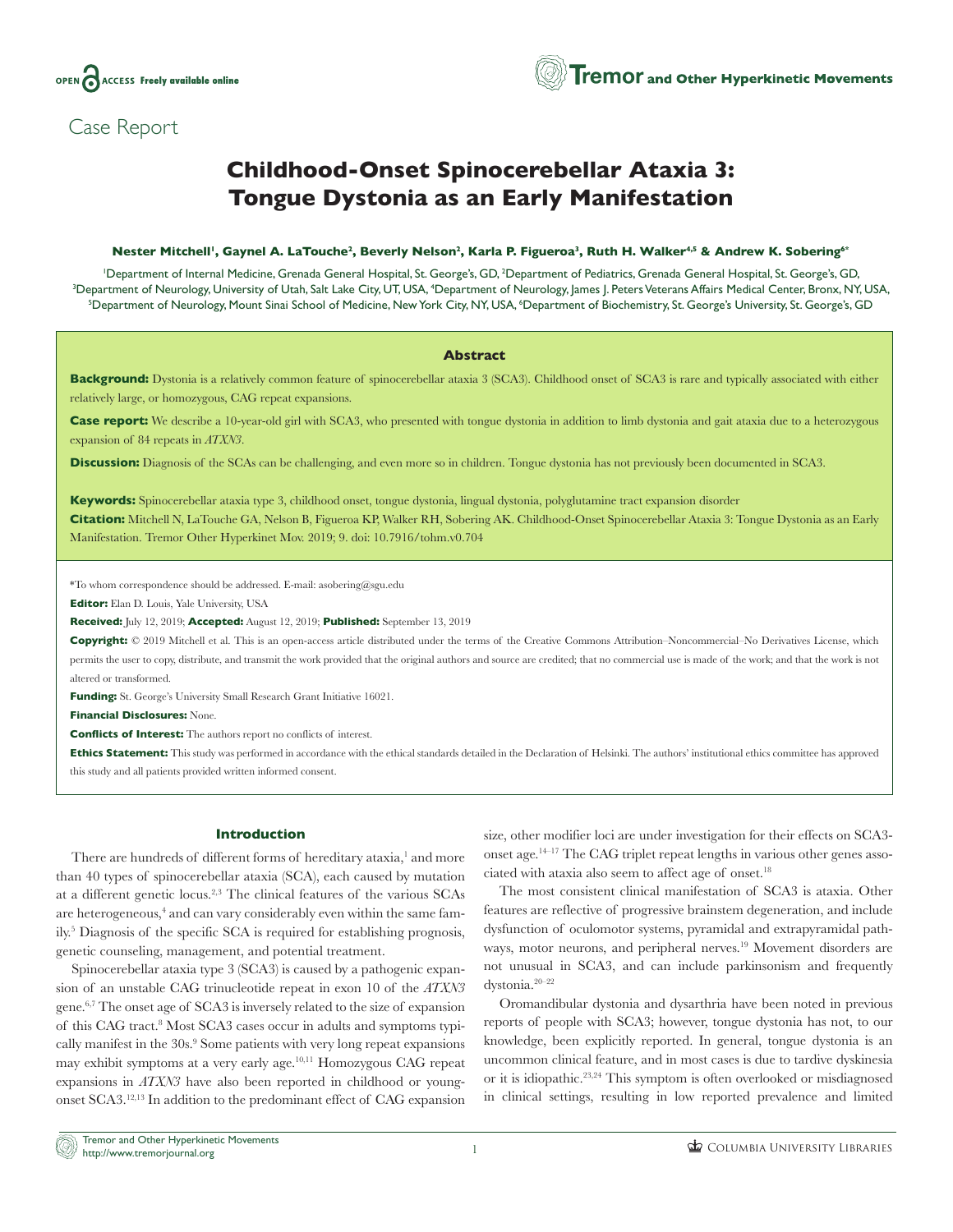

## Case Report

# **Childhood-Onset Spinocerebellar Ataxia 3: Tongue Dystonia as an Early Manifestation**

## **Nester Mitchell1, Gaynel A. LaTouche2, Beverly Nelson2, Karla P. Figueroa3, Ruth H. Walker4,5 & Andrew K. Sobering6\***

Department of Internal Medicine, Grenada General Hospital, St. George's, GD, <sup>2</sup>Department of Pediatrics, Grenada General Hospital, St. George's, GD, الصودوات الموازعات الموازع الموازع الموازع الموازع الموازع الموازع الموا Department of Neurology, University of Utah, Salt Lake City, UT, USA, <sup>4</sup>Department of Neurology, James J. Peters Veterans Affairs Medical Center, Bronx, NY, USA,<br>Department of Neurology Mount Sinai School of Medicine, New Department of Neurology, Mount Sinai School of Medicine, New York City, NY, USA, <sup>6</sup>Department of Biochemistry, St. George's University, St. George's, GD

## **Abstract**

**Background:** Dystonia is a relatively common feature of spinocerebellar ataxia 3 (SCA3). Childhood onset of SCA3 is rare and typically associated with either relatively large, or homozygous, CAG repeat expansions.

Case report: We describe a 10-year-old girl with SCA3, who presented with tongue dystonia in addition to limb dystonia and gait ataxia due to a heterozygous expansion of 84 repeats in *ATXN3*.

**Discussion:** Diagnosis of the SCAs can be challenging, and even more so in children. Tongue dystonia has not previously been documented in SCA3.

**Keywords:** Spinocerebellar ataxia type 3, childhood onset, tongue dystonia, lingual dystonia, polyglutamine tract expansion disorder **Citation:** Mitchell N, LaTouche GA, Nelson B, Figueroa KP, Walker RH, Sobering AK. Childhood-Onset Spinocerebellar Ataxia 3: Tongue Dystonia as an Early Manifestation. Tremor Other Hyperkinet Mov. 2019; 9. doi: [10.7916/tohm.v0.704](http://dx.doi.org/10.7916/tohm.v0.704)

\*To whom correspondence should be addressed. E-mail: [asobering@sgu.edu](mailto:asobering@sgu.edu)

**Editor:** Elan D. Louis, Yale University, USA

**Received:** July 12, 2019; **Accepted:** August 12, 2019; **Published:** September 13, 2019

**Copyright:** © 2019 Mitchell et al. This is an open-access article distributed under the terms of the Creative Commons Attribution–Noncommercial–No Derivatives License, which permits the user to copy, distribute, and transmit the work provided that the original authors and source are credited; that no commercial use is made of the work; and that the work is not altered or transformed.

**Funding:** St. George's University Small Research Grant Initiative 16021.

**Financial Disclosures:** None.

**Conflicts of Interest:** The authors report no conflicts of interest.

**Ethics Statement:** This study was performed in accordance with the ethical standards detailed in the Declaration of Helsinki. The authors' institutional ethics committee has approved this study and all patients provided written informed consent.

## **Introduction**

There are hundreds of different forms of hereditary ataxia,<sup>1</sup> and more than 40 types of spinocerebellar ataxia (SCA), each caused by mutation at a different genetic locus.<sup>2,3</sup> The clinical features of the various SCAs are heterogeneous,<sup>4</sup> and can vary considerably even within the same family.5 Diagnosis of the specific SCA is required for establishing prognosis, genetic counseling, management, and potential treatment.

Spinocerebellar ataxia type 3 (SCA3) is caused by a pathogenic expansion of an unstable CAG trinucleotide repeat in exon 10 of the *ATXN3* gene.6,7 The onset age of SCA3 is inversely related to the size of expansion of this CAG tract.<sup>8</sup> Most SCA3 cases occur in adults and symptoms typically manifest in the 30s.<sup>9</sup> Some patients with very long repeat expansions may exhibit symptoms at a very early age.10,11 Homozygous CAG repeat expansions in *ATXN3* have also been reported in childhood or youngonset SCA3.12,13 In addition to the predominant effect of CAG expansion

size, other modifier loci are under investigation for their effects on SCA3 onset age.14–17 The CAG triplet repeat lengths in various other genes associated with ataxia also seem to affect age of onset.<sup>18</sup>

The most consistent clinical manifestation of SCA3 is ataxia. Other features are reflective of progressive brainstem degeneration, and include dysfunction of oculomotor systems, pyramidal and extrapyramidal pathways, motor neurons, and peripheral nerves.<sup>19</sup> Movement disorders are not unusual in SCA3, and can include parkinsonism and frequently dystonia.20–22

Oromandibular dystonia and dysarthria have been noted in previous reports of people with SCA3; however, tongue dystonia has not, to our knowledge, been explicitly reported. In general, tongue dystonia is an uncommon clinical feature, and in most cases is due to tardive dyskinesia or it is idiopathic.23,24 This symptom is often overlooked or misdiagnosed in clinical settings, resulting in low reported prevalence and limited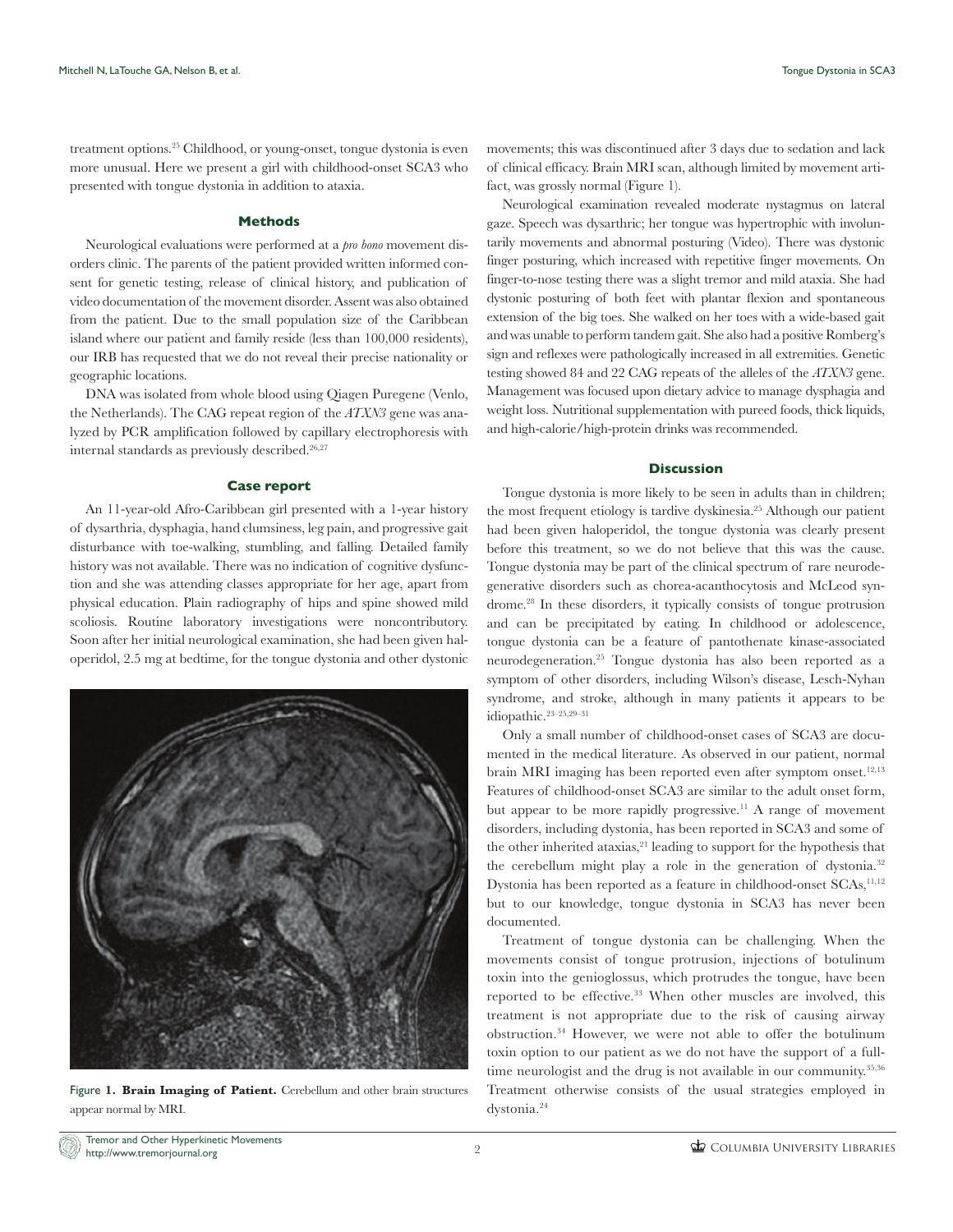treatment options.25 Childhood, or young-onset, tongue dystonia is even more unusual. Here we present a girl with childhood-onset SCA3 who presented with tongue dystonia in addition to ataxia.

### **Methods**

Neurological evaluations were performed at a *pro bono* movement disorders clinic. The parents of the patient provided written informed consent for genetic testing, release of clinical history, and publication of video documentation of the movement disorder. Assent was also obtained from the patient. Due to the small population size of the Caribbean island where our patient and family reside (less than 100,000 residents), our IRB has requested that we do not reveal their precise nationality or geographic locations.

DNA was isolated from whole blood using Qiagen Puregene (Venlo, the Netherlands). The CAG repeat region of the *ATXN3* gene was analyzed by PCR amplification followed by capillary electrophoresis with internal standards as previously described.<sup>26,27</sup>

#### **Case report**

An 11-year-old Afro-Caribbean girl presented with a 1-year history of dysarthria, dysphagia, hand clumsiness, leg pain, and progressive gait disturbance with toe-walking, stumbling, and falling. Detailed family history was not available. There was no indication of cognitive dysfunction and she was attending classes appropriate for her age, apart from physical education. Plain radiography of hips and spine showed mild scoliosis. Routine laboratory investigations were noncontributory. Soon after her initial neurological examination, she had been given haloperidol, 2.5 mg at bedtime, for the tongue dystonia and other dystonic



Figure **1. Brain Imaging of Patient.** Cerebellum and other brain structures appear normal by MRI.

movements; this was discontinued after 3 days due to sedation and lack of clinical efficacy. Brain MRI scan, although limited by movement artifact, was grossly normal (Figure 1).

Neurological examination revealed moderate nystagmus on lateral gaze. Speech was dysarthric; her tongue was hypertrophic with involuntarily movements and abnormal posturing (Video). There was dystonic finger posturing, which increased with repetitive finger movements. On finger-to-nose testing there was a slight tremor and mild ataxia. She had dystonic posturing of both feet with plantar flexion and spontaneous extension of the big toes. She walked on her toes with a wide-based gait and was unable to perform tandem gait. She also had a positive Romberg's sign and reflexes were pathologically increased in all extremities. Genetic testing showed 84 and 22 CAG repeats of the alleles of the *ATXN3* gene. Management was focused upon dietary advice to manage dysphagia and weight loss. Nutritional supplementation with pureed foods, thick liquids, and high-calorie/high-protein drinks was recommended.

## **Discussion**

Tongue dystonia is more likely to be seen in adults than in children; the most frequent etiology is tardive dyskinesia.25 Although our patient had been given haloperidol, the tongue dystonia was clearly present before this treatment, so we do not believe that this was the cause. Tongue dystonia may be part of the clinical spectrum of rare neurodegenerative disorders such as chorea-acanthocytosis and McLeod syndrome.28 In these disorders, it typically consists of tongue protrusion and can be precipitated by eating. In childhood or adolescence, tongue dystonia can be a feature of pantothenate kinase-associated neurodegeneration.25 Tongue dystonia has also been reported as a symptom of other disorders, including Wilson's disease, Lesch-Nyhan syndrome, and stroke, although in many patients it appears to be idiopathic.23–25,29–31

Only a small number of childhood-onset cases of SCA3 are documented in the medical literature. As observed in our patient, normal brain MRI imaging has been reported even after symptom onset.<sup>12,13</sup> Features of childhood-onset SCA3 are similar to the adult onset form, but appear to be more rapidly progressive.<sup>11</sup> A range of movement disorders, including dystonia, has been reported in SCA3 and some of the other inherited ataxias,<sup>21</sup> leading to support for the hypothesis that the cerebellum might play a role in the generation of dystonia.<sup>32</sup> Dystonia has been reported as a feature in childhood-onset SCAs,<sup>11,12</sup> but to our knowledge, tongue dystonia in SCA3 has never been documented.

Treatment of tongue dystonia can be challenging. When the movements consist of tongue protrusion, injections of botulinum toxin into the genioglossus, which protrudes the tongue, have been reported to be effective.<sup>33</sup> When other muscles are involved, this treatment is not appropriate due to the risk of causing airway obstruction.34 However, we were not able to offer the botulinum toxin option to our patient as we do not have the support of a fulltime neurologist and the drug is not available in our community.<sup>35,36</sup> Treatment otherwise consists of the usual strategies employed in dystonia.24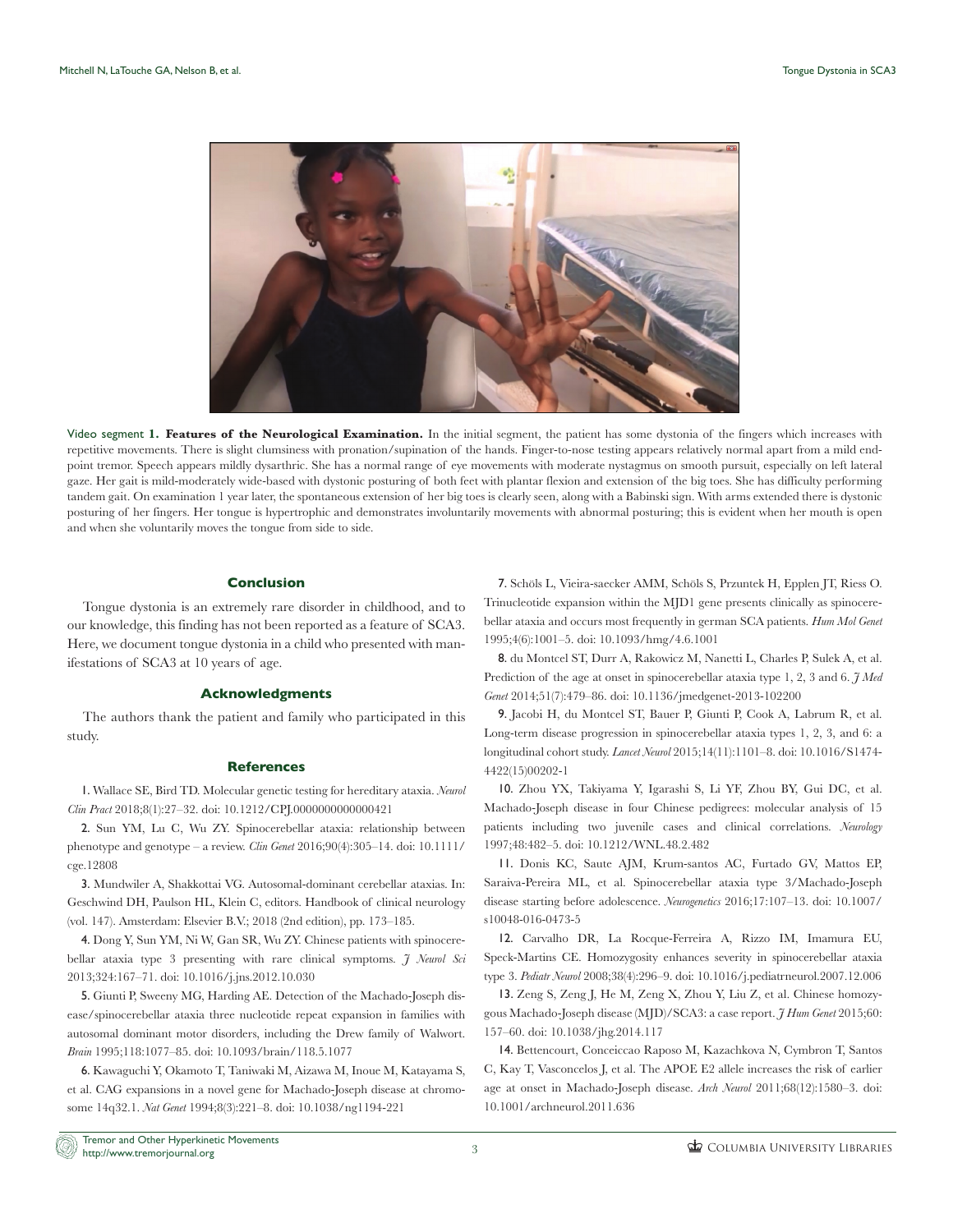

Video segment **1. Features of the Neurological Examination.** In the initial segment, the patient has some dystonia of the fingers which increases with repetitive movements. There is slight clumsiness with pronation/supination of the hands. Finger-to-nose testing appears relatively normal apart from a mild endpoint tremor. Speech appears mildly dysarthric. She has a normal range of eye movements with moderate nystagmus on smooth pursuit, especially on left lateral gaze. Her gait is mild-moderately wide-based with dystonic posturing of both feet with plantar flexion and extension of the big toes. She has difficulty performing tandem gait. On examination 1 year later, the spontaneous extension of her big toes is clearly seen, along with a Babinski sign. With arms extended there is dystonic posturing of her fingers. Her tongue is hypertrophic and demonstrates involuntarily movements with abnormal posturing; this is evident when her mouth is open and when she voluntarily moves the tongue from side to side.

## **Conclusion**

Tongue dystonia is an extremely rare disorder in childhood, and to our knowledge, this finding has not been reported as a feature of SCA3. Here, we document tongue dystonia in a child who presented with manifestations of SCA3 at 10 years of age.

#### **Acknowledgments**

The authors thank the patient and family who participated in this study.

#### **References**

1. Wallace SE, Bird TD. Molecular genetic testing for hereditary ataxia. *Neurol Clin Pract* 2018;8(1):27–32. doi: 10.1212/CPJ.0000000000000421

2. Sun YM, Lu C, Wu ZY. Spinocerebellar ataxia: relationship between phenotype and genotype – a review. *Clin Genet* 2016;90(4):305–14. doi: 10.1111/ cge.12808

3. Mundwiler A, Shakkottai VG. Autosomal-dominant cerebellar ataxias. In: Geschwind DH, Paulson HL, Klein C, editors. Handbook of clinical neurology (vol. 147). Amsterdam: Elsevier B.V.; 2018 (2nd edition), pp. 173–185.

4. Dong Y, Sun YM, Ni W, Gan SR, Wu ZY. Chinese patients with spinocerebellar ataxia type 3 presenting with rare clinical symptoms. *J Neurol Sci* 2013;324:167–71. doi: 10.1016/j.jns.2012.10.030

5. Giunti P, Sweeny MG, Harding AE. Detection of the Machado-Joseph disease/spinocerebellar ataxia three nucleotide repeat expansion in families with autosomal dominant motor disorders, including the Drew family of Walwort. *Brain* 1995;118:1077–85. doi: 10.1093/brain/118.5.1077

6. Kawaguchi Y, Okamoto T, Taniwaki M, Aizawa M, Inoue M, Katayama S, et al. CAG expansions in a novel gene for Machado-Joseph disease at chromosome 14q32.1. *Nat Genet* 1994;8(3):221–8. doi: 10.1038/ng1194-221

7. Schöls L, Vieira-saecker AMM, Schöls S, Przuntek H, Epplen JT, Riess O. Trinucleotide expansion within the MJD1 gene presents clinically as spinocerebellar ataxia and occurs most frequently in german SCA patients. *Hum Mol Genet* 1995;4(6):1001–5. doi: 10.1093/hmg/4.6.1001

8. du Montcel ST, Durr A, Rakowicz M, Nanetti L, Charles P, Sulek A, et al. Prediction of the age at onset in spinocerebellar ataxia type 1, 2, 3 and 6. *J Med Genet* 2014;51(7):479–86. doi: 10.1136/jmedgenet-2013-102200

9. Jacobi H, du Montcel ST, Bauer P, Giunti P, Cook A, Labrum R, et al. Long-term disease progression in spinocerebellar ataxia types 1, 2, 3, and 6: a longitudinal cohort study. *Lancet Neurol* 2015;14(11):1101–8. doi: 10.1016/S1474- 4422(15)00202-1

10. Zhou YX, Takiyama Y, Igarashi S, Li YF, Zhou BY, Gui DC, et al. Machado-Joseph disease in four Chinese pedigrees: molecular analysis of 15 patients including two juvenile cases and clinical correlations. *Neurology* 1997;48:482–5. doi: 10.1212/WNL.48.2.482

11. Donis KC, Saute AJM, Krum-santos AC, Furtado GV, Mattos EP, Saraiva-Pereira ML, et al. Spinocerebellar ataxia type 3/Machado-Joseph disease starting before adolescence. *Neurogenetics* 2016;17:107–13. doi: 10.1007/ s10048-016-0473-5

12. Carvalho DR, La Rocque-Ferreira A, Rizzo IM, Imamura EU, Speck-Martins CE. Homozygosity enhances severity in spinocerebellar ataxia type 3. *Pediatr Neurol* 2008;38(4):296–9. doi: 10.1016/j.pediatrneurol.2007.12.006

13. Zeng S, Zeng J, He M, Zeng X, Zhou Y, Liu Z, et al. Chinese homozygous Machado-Joseph disease (MJD)/SCA3: a case report. *J Hum Genet* 2015;60: 157–60. doi: 10.1038/jhg.2014.117

14. Bettencourt, Conceiccao Raposo M, Kazachkova N, Cymbron T, Santos C, Kay T, Vasconcelos J, et al. The APOE E2 allele increases the risk of earlier age at onset in Machado-Joseph disease. *Arch Neurol* 2011;68(12):1580–3. doi: 10.1001/archneurol.2011.636